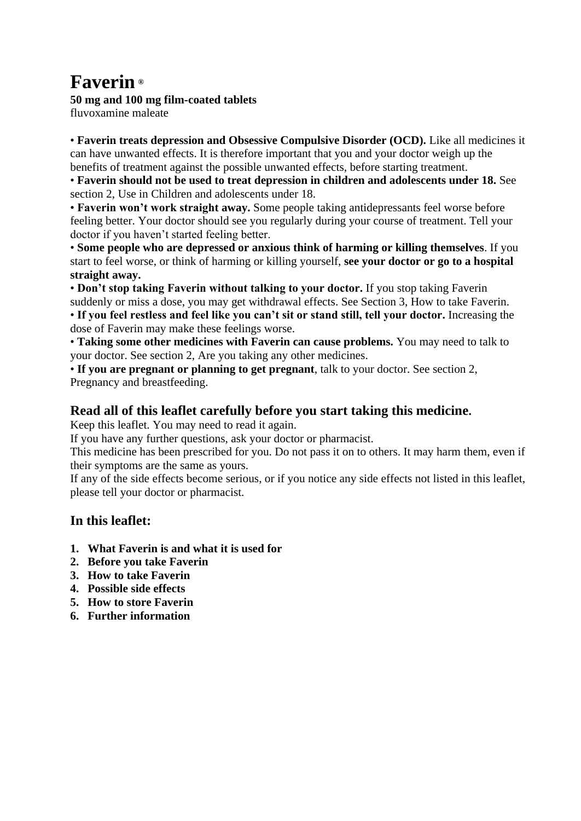# **Faverin ®**

## **50 mg and 100 mg film-coated tablets**

fluvoxamine maleate

• **Faverin treats depression and Obsessive Compulsive Disorder (OCD).** Like all medicines it can have unwanted effects. It is therefore important that you and your doctor weigh up the benefits of treatment against the possible unwanted effects, before starting treatment.

• **Faverin should not be used to treat depression in children and adolescents under 18.** See section 2, Use in Children and adolescents under 18.

• **Faverin won't work straight away.** Some people taking antidepressants feel worse before feeling better. Your doctor should see you regularly during your course of treatment. Tell your doctor if you haven't started feeling better.

• **Some people who are depressed or anxious think of harming or killing themselves**. If you start to feel worse, or think of harming or killing yourself, **see your doctor or go to a hospital straight away.** 

• **Don't stop taking Faverin without talking to your doctor.** If you stop taking Faverin suddenly or miss a dose, you may get withdrawal effects. See Section 3, How to take Faverin. • **If you feel restless and feel like you can't sit or stand still, tell your doctor.** Increasing the dose of Faverin may make these feelings worse.

• **Taking some other medicines with Faverin can cause problems.** You may need to talk to your doctor. See section 2, Are you taking any other medicines.

• **If you are pregnant or planning to get pregnant**, talk to your doctor. See section 2, Pregnancy and breastfeeding.

# **Read all of this leaflet carefully before you start taking this medicine.**

Keep this leaflet. You may need to read it again.

If you have any further questions, ask your doctor or pharmacist.

This medicine has been prescribed for you. Do not pass it on to others. It may harm them, even if their symptoms are the same as yours.

If any of the side effects become serious, or if you notice any side effects not listed in this leaflet, please tell your doctor or pharmacist.

# **In this leaflet:**

- **1. What Faverin is and what it is used for**
- **2. Before you take Faverin**
- **3. How to take Faverin**
- **4. Possible side effects**
- **5. How to store Faverin**
- **6. Further information**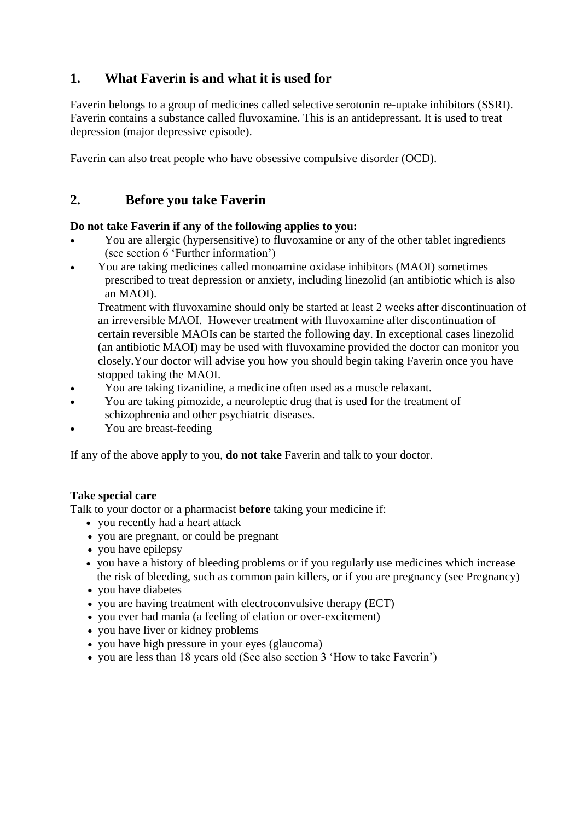# **1. What Faver**i**n is and what it is used for**

Faverin belongs to a group of medicines called selective serotonin re-uptake inhibitors (SSRI). Faverin contains a substance called fluvoxamine. This is an antidepressant. It is used to treat depression (major depressive episode).

Faverin can also treat people who have obsessive compulsive disorder (OCD).

# **2. Before you take Faverin**

#### **Do not take Faverin if any of the following applies to you:**

- You are allergic (hypersensitive) to fluvoxamine or any of the other tablet ingredients (see section 6 'Further information')
- You are taking medicines called monoamine oxidase inhibitors (MAOI) sometimes prescribed to treat depression or anxiety, including linezolid (an antibiotic which is also an MAOI).

Treatment with fluvoxamine should only be started at least 2 weeks after discontinuation of an irreversible MAOI. However treatment with fluvoxamine after discontinuation of certain reversible MAOIs can be started the following day. In exceptional cases linezolid (an antibiotic MAOI) may be used with fluvoxamine provided the doctor can monitor you closely.Your doctor will advise you how you should begin taking Faverin once you have stopped taking the MAOI.

- You are taking tizanidine, a medicine often used as a muscle relaxant.
- You are taking pimozide, a neuroleptic drug that is used for the treatment of schizophrenia and other psychiatric diseases.
- You are breast-feeding

If any of the above apply to you, **do not take** Faverin and talk to your doctor.

#### **Take special care**

Talk to your doctor or a pharmacist **before** taking your medicine if:

- you recently had a heart attack
- you are pregnant, or could be pregnant
- you have epilepsy
- you have a history of bleeding problems or if you regularly use medicines which increase the risk of bleeding, such as common pain killers, or if you are pregnancy (see Pregnancy)
- you have diabetes
- you are having treatment with electroconvulsive therapy (ECT)
- you ever had mania (a feeling of elation or over-excitement)
- you have liver or kidney problems
- you have high pressure in your eyes (glaucoma)
- you are less than 18 years old (See also section 3 'How to take Faverin')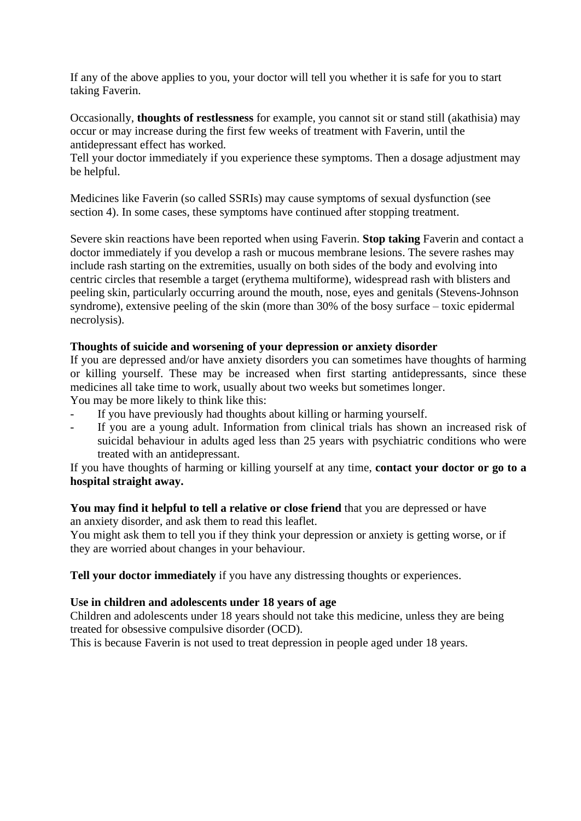If any of the above applies to you, your doctor will tell you whether it is safe for you to start taking Faverin.

Occasionally, **thoughts of restlessness** for example, you cannot sit or stand still (akathisia) may occur or may increase during the first few weeks of treatment with Faverin, until the antidepressant effect has worked.

Tell your doctor immediately if you experience these symptoms. Then a dosage adjustment may be helpful.

Medicines like Faverin (so called SSRIs) may cause symptoms of sexual dysfunction (see section 4). In some cases, these symptoms have continued after stopping treatment.

Severe skin reactions have been reported when using Faverin. **Stop taking** Faverin and contact a doctor immediately if you develop a rash or mucous membrane lesions. The severe rashes may include rash starting on the extremities, usually on both sides of the body and evolving into centric circles that resemble a target (erythema multiforme), widespread rash with blisters and peeling skin, particularly occurring around the mouth, nose, eyes and genitals (Stevens-Johnson syndrome), extensive peeling of the skin (more than 30% of the bosy surface – toxic epidermal necrolysis).

#### **Thoughts of suicide and worsening of your depression or anxiety disorder**

If you are depressed and/or have anxiety disorders you can sometimes have thoughts of harming or killing yourself. These may be increased when first starting antidepressants, since these medicines all take time to work, usually about two weeks but sometimes longer. You may be more likely to think like this:

- If you have previously had thoughts about killing or harming yourself.
- If you are a young adult. Information from clinical trials has shown an increased risk of suicidal behaviour in adults aged less than 25 years with psychiatric conditions who were treated with an antidepressant.

If you have thoughts of harming or killing yourself at any time, **contact your doctor or go to a hospital straight away.**

#### **You may find it helpful to tell a relative or close friend** that you are depressed or have

an anxiety disorder, and ask them to read this leaflet.

You might ask them to tell you if they think your depression or anxiety is getting worse, or if they are worried about changes in your behaviour.

**Tell your doctor immediately** if you have any distressing thoughts or experiences.

#### **Use in children and adolescents under 18 years of age**

Children and adolescents under 18 years should not take this medicine, unless they are being treated for obsessive compulsive disorder (OCD).

This is because Faverin is not used to treat depression in people aged under 18 years.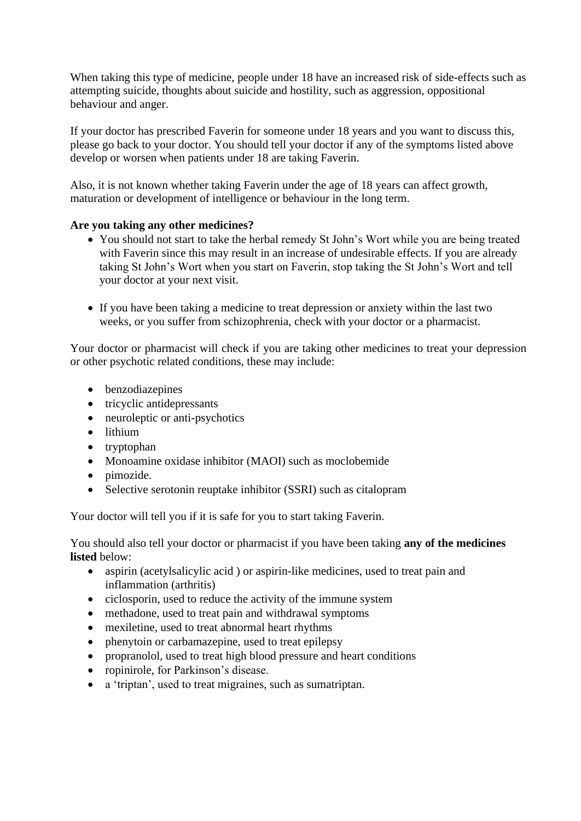When taking this type of medicine, people under 18 have an increased risk of side-effects such as attempting suicide, thoughts about suicide and hostility, such as aggression, oppositional behaviour and anger.

If your doctor has prescribed Faverin for someone under 18 years and you want to discuss this, please go back to your doctor. You should tell your doctor if any of the symptoms listed above develop or worsen when patients under 18 are taking Faverin.

Also, it is not known whether taking Faverin under the age of 18 years can affect growth, maturation or development of intelligence or behaviour in the long term.

#### **Are you taking any other medicines?**

- You should not start to take the herbal remedy St John's Wort while you are being treated with Faverin since this may result in an increase of undesirable effects. If you are already taking St John's Wort when you start on Faverin, stop taking the St John's Wort and tell your doctor at your next visit.
- If you have been taking a medicine to treat depression or anxiety within the last two weeks, or you suffer from schizophrenia, check with your doctor or a pharmacist.

Your doctor or pharmacist will check if you are taking other medicines to treat your depression or other psychotic related conditions, these may include:

- benzodiazepines
- tricyclic antidepressants
- neuroleptic or anti-psychotics
- lithium
- tryptophan
- Monoamine oxidase inhibitor (MAOI) such as moclobemide
- pimozide.
- Selective serotonin reuptake inhibitor (SSRI) such as citalopram

Your doctor will tell you if it is safe for you to start taking Faverin.

You should also tell your doctor or pharmacist if you have been taking **any of the medicines listed** below:

- aspirin (acetylsalicylic acid) or aspirin-like medicines, used to treat pain and inflammation (arthritis)
- ciclosporin, used to reduce the activity of the immune system
- methadone, used to treat pain and withdrawal symptoms
- mexiletine, used to treat abnormal heart rhythms
- phenytoin or carbamazepine, used to treat epilepsy
- propranolol, used to treat high blood pressure and heart conditions
- ropinirole, for Parkinson's disease.
- a 'triptan', used to treat migraines, such as sumatriptan.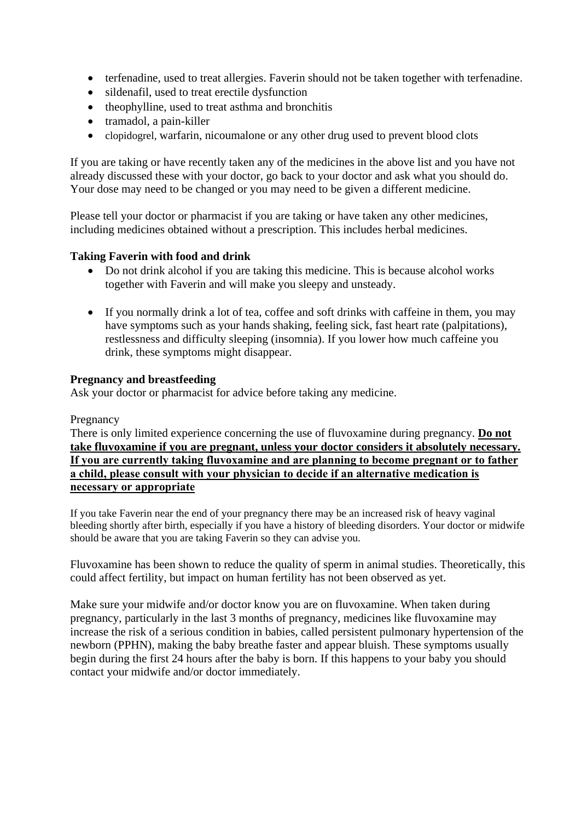- terfenadine, used to treat allergies. Faverin should not be taken together with terfenadine.
- sildenafil, used to treat erectile dysfunction
- theophylline, used to treat asthma and bronchitis
- tramadol, a pain-killer
- clopidogrel, warfarin, nicoumalone or any other drug used to prevent blood clots

If you are taking or have recently taken any of the medicines in the above list and you have not already discussed these with your doctor, go back to your doctor and ask what you should do. Your dose may need to be changed or you may need to be given a different medicine.

Please tell your doctor or pharmacist if you are taking or have taken any other medicines, including medicines obtained without a prescription. This includes herbal medicines.

#### **Taking Faverin with food and drink**

- Do not drink alcohol if you are taking this medicine. This is because alcohol works together with Faverin and will make you sleepy and unsteady.
- If you normally drink a lot of tea, coffee and soft drinks with caffeine in them, you may have symptoms such as your hands shaking, feeling sick, fast heart rate (palpitations), restlessness and difficulty sleeping (insomnia). If you lower how much caffeine you drink, these symptoms might disappear.

#### **Pregnancy and breastfeeding**

Ask your doctor or pharmacist for advice before taking any medicine.

#### Pregnancy

There is only limited experience concerning the use of fluvoxamine during pregnancy. **Do not take fluvoxamine if you are pregnant, unless your doctor considers it absolutely necessary. If you are currently taking fluvoxamine and are planning to become pregnant or to father a child, please consult with your physician to decide if an alternative medication is necessary or appropriate**

If you take Faverin near the end of your pregnancy there may be an increased risk of heavy vaginal bleeding shortly after birth, especially if you have a history of bleeding disorders. Your doctor or midwife should be aware that you are taking Faverin so they can advise you.

Fluvoxamine has been shown to reduce the quality of sperm in animal studies. Theoretically, this could affect fertility, but impact on human fertility has not been observed as yet.

Make sure your midwife and/or doctor know you are on fluvoxamine. When taken during pregnancy, particularly in the last 3 months of pregnancy, medicines like fluvoxamine may increase the risk of a serious condition in babies, called persistent pulmonary hypertension of the newborn (PPHN), making the baby breathe faster and appear bluish. These symptoms usually begin during the first 24 hours after the baby is born. If this happens to your baby you should contact your midwife and/or doctor immediately.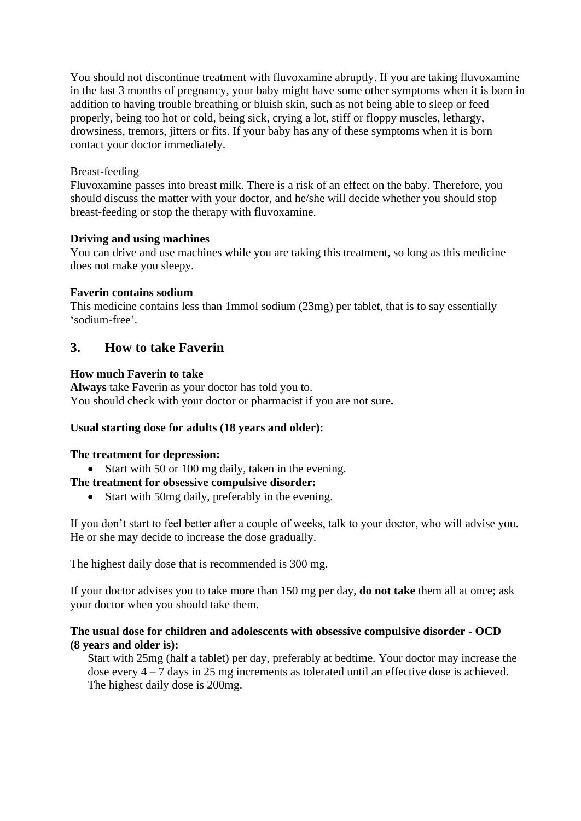You should not discontinue treatment with fluvoxamine abruptly. If you are taking fluvoxamine in the last 3 months of pregnancy, your baby might have some other symptoms when it is born in addition to having trouble breathing or bluish skin, such as not being able to sleep or feed properly, being too hot or cold, being sick, crying a lot, stiff or floppy muscles, lethargy, drowsiness, tremors, jitters or fits. If your baby has any of these symptoms when it is born contact your doctor immediately.

#### Breast-feeding

Fluvoxamine passes into breast milk. There is a risk of an effect on the baby. Therefore, you should discuss the matter with your doctor, and he/she will decide whether you should stop breast-feeding or stop the therapy with fluvoxamine.

#### **Driving and using machines**

You can drive and use machines while you are taking this treatment, so long as this medicine does not make you sleepy.

#### **Faverin contains sodium**

This medicine contains less than 1mmol sodium (23mg) per tablet, that is to say essentially 'sodium-free'.

# **3. How to take Faverin**

#### **How much Faverin to take**

**Always** take Faverin as your doctor has told you to. You should check with your doctor or pharmacist if you are not sure**.** 

#### **Usual starting dose for adults (18 years and older):**

#### **The treatment for depression:**

• Start with 50 or 100 mg daily, taken in the evening.

#### **The treatment for obsessive compulsive disorder:**

• Start with 50mg daily, preferably in the evening.

If you don't start to feel better after a couple of weeks, talk to your doctor, who will advise you. He or she may decide to increase the dose gradually.

The highest daily dose that is recommended is 300 mg.

If your doctor advises you to take more than 150 mg per day, **do not take** them all at once; ask your doctor when you should take them.

#### **The usual dose for children and adolescents with obsessive compulsive disorder - OCD (8 years and older is):**

Start with 25mg (half a tablet) per day, preferably at bedtime. Your doctor may increase the dose every 4 – 7 days in 25 mg increments as tolerated until an effective dose is achieved. The highest daily dose is 200mg.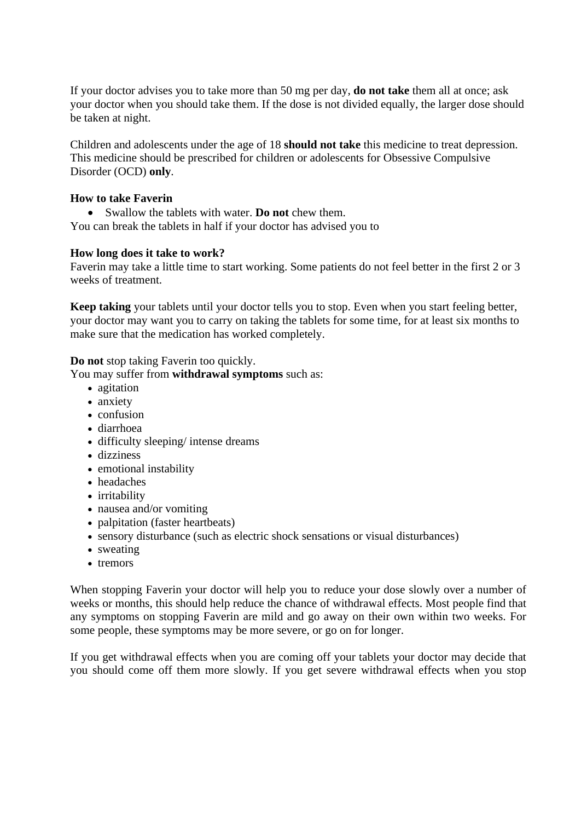If your doctor advises you to take more than 50 mg per day, **do not take** them all at once; ask your doctor when you should take them. If the dose is not divided equally, the larger dose should be taken at night.

Children and adolescents under the age of 18 **should not take** this medicine to treat depression. This medicine should be prescribed for children or adolescents for Obsessive Compulsive Disorder (OCD) **only**.

#### **How to take Faverin**

• Swallow the tablets with water. **Do not** chew them.

You can break the tablets in half if your doctor has advised you to

#### **How long does it take to work?**

Faverin may take a little time to start working. Some patients do not feel better in the first 2 or 3 weeks of treatment.

**Keep taking** your tablets until your doctor tells you to stop. Even when you start feeling better, your doctor may want you to carry on taking the tablets for some time, for at least six months to make sure that the medication has worked completely.

**Do not** stop taking Faverin too quickly.

You may suffer from **withdrawal symptoms** such as:

- agitation
- anxiety
- confusion
- diarrhoea
- difficulty sleeping/ intense dreams
- dizziness
- emotional instability
- headaches
- irritability
- nausea and/or vomiting
- palpitation (faster heartbeats)
- sensory disturbance (such as electric shock sensations or visual disturbances)
- sweating
- tremors

When stopping Faverin your doctor will help you to reduce your dose slowly over a number of weeks or months, this should help reduce the chance of withdrawal effects. Most people find that any symptoms on stopping Faverin are mild and go away on their own within two weeks. For some people, these symptoms may be more severe, or go on for longer.

If you get withdrawal effects when you are coming off your tablets your doctor may decide that you should come off them more slowly. If you get severe withdrawal effects when you stop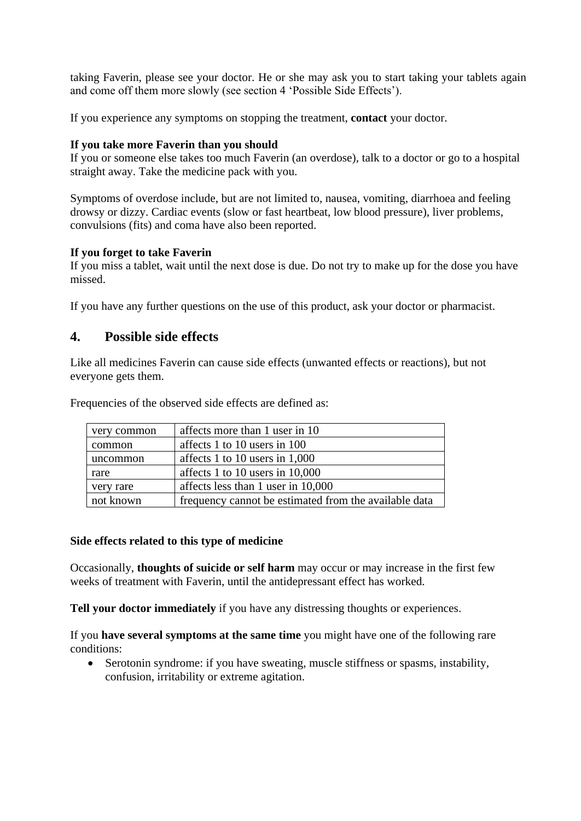taking Faverin, please see your doctor. He or she may ask you to start taking your tablets again and come off them more slowly (see section 4 'Possible Side Effects').

If you experience any symptoms on stopping the treatment, **contact** your doctor.

#### **If you take more Faverin than you should**

If you or someone else takes too much Faverin (an overdose), talk to a doctor or go to a hospital straight away. Take the medicine pack with you.

Symptoms of overdose include, but are not limited to, nausea, vomiting, diarrhoea and feeling drowsy or dizzy. Cardiac events (slow or fast heartbeat, low blood pressure), liver problems, convulsions (fits) and coma have also been reported.

#### **If you forget to take Faverin**

If you miss a tablet, wait until the next dose is due. Do not try to make up for the dose you have missed.

If you have any further questions on the use of this product, ask your doctor or pharmacist.

### **4. Possible side effects**

Like all medicines Faverin can cause side effects (unwanted effects or reactions), but not everyone gets them.

| very common | affects more than 1 user in 10                        |
|-------------|-------------------------------------------------------|
| common      | affects 1 to 10 users in 100                          |
| uncommon    | affects 1 to 10 users in $1,000$                      |
| rare        | affects 1 to 10 users in $10,000$                     |
| very rare   | affects less than 1 user in 10,000                    |
| not known   | frequency cannot be estimated from the available data |

Frequencies of the observed side effects are defined as:

#### **Side effects related to this type of medicine**

Occasionally, **thoughts of suicide or self harm** may occur or may increase in the first few weeks of treatment with Faverin, until the antidepressant effect has worked.

**Tell your doctor immediately** if you have any distressing thoughts or experiences.

If you **have several symptoms at the same time** you might have one of the following rare conditions:

• Serotonin syndrome: if you have sweating, muscle stiffness or spasms, instability, confusion, irritability or extreme agitation.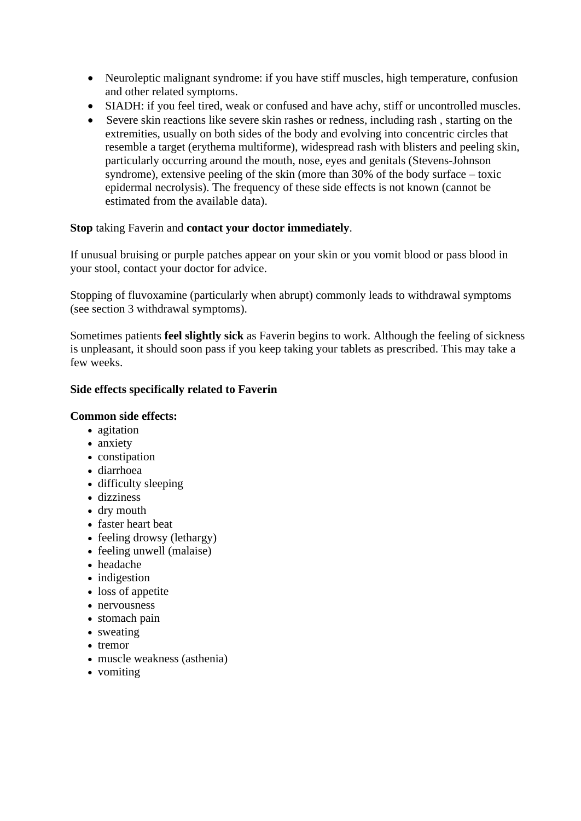- Neuroleptic malignant syndrome: if you have stiff muscles, high temperature, confusion and other related symptoms.
- SIADH: if you feel tired, weak or confused and have achy, stiff or uncontrolled muscles.
- Severe skin reactions like severe skin rashes or redness, including rash, starting on the extremities, usually on both sides of the body and evolving into concentric circles that resemble a target (erythema multiforme), widespread rash with blisters and peeling skin, particularly occurring around the mouth, nose, eyes and genitals (Stevens-Johnson syndrome), extensive peeling of the skin (more than 30% of the body surface – toxic epidermal necrolysis). The frequency of these side effects is not known (cannot be estimated from the available data).

#### **Stop** taking Faverin and **contact your doctor immediately**.

If unusual bruising or purple patches appear on your skin or you vomit blood or pass blood in your stool, contact your doctor for advice.

Stopping of fluvoxamine (particularly when abrupt) commonly leads to withdrawal symptoms (see section 3 withdrawal symptoms).

Sometimes patients **feel slightly sick** as Faverin begins to work. Although the feeling of sickness is unpleasant, it should soon pass if you keep taking your tablets as prescribed. This may take a few weeks.

#### **Side effects specifically related to Faverin**

#### **Common side effects:**

- agitation
- anxiety
- constipation
- diarrhoea
- difficulty sleeping
- dizziness
- dry mouth
- faster heart beat
- feeling drowsy (lethargy)
- feeling unwell (malaise)
- headache
- indigestion
- loss of appetite
- nervousness
- stomach pain
- sweating
- tremor
- muscle weakness (asthenia)
- vomiting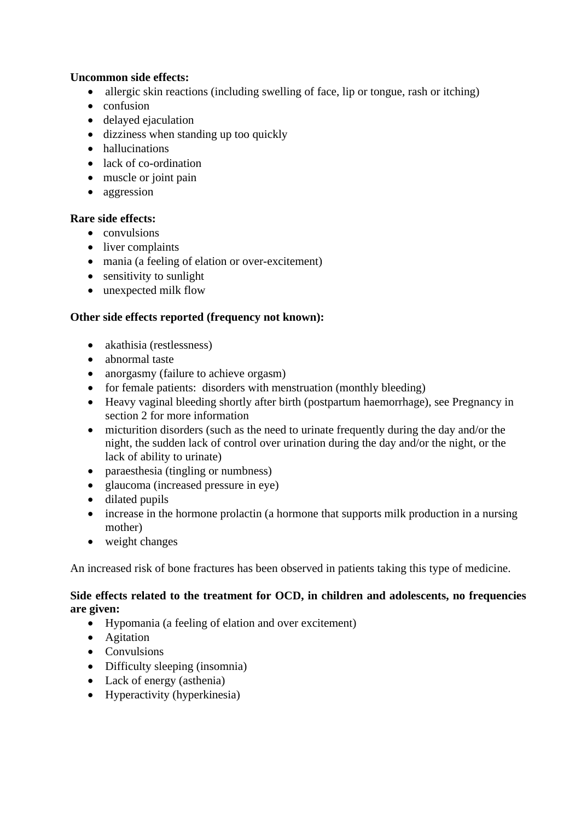#### **Uncommon side effects:**

- allergic skin reactions (including swelling of face, lip or tongue, rash or itching)
- confusion
- delayed ejaculation
- dizziness when standing up too quickly
- hallucinations
- lack of co-ordination
- muscle or joint pain
- aggression

#### **Rare side effects:**

- convulsions
- liver complaints
- mania (a feeling of elation or over-excitement)
- sensitivity to sunlight
- unexpected milk flow

#### **Other side effects reported (frequency not known):**

- akathisia (restlessness)
- abnormal taste
- anorgasmy (failure to achieve orgasm)
- for female patients: disorders with menstruation (monthly bleeding)
- Heavy vaginal bleeding shortly after birth (postpartum haemorrhage), see Pregnancy in section 2 for more information
- micturition disorders (such as the need to urinate frequently during the day and/or the night, the sudden lack of control over urination during the day and/or the night, or the lack of ability to urinate)
- paraesthesia (tingling or numbness)
- glaucoma (increased pressure in eye)
- dilated pupils
- increase in the hormone prolactin (a hormone that supports milk production in a nursing mother)
- weight changes

An increased risk of bone fractures has been observed in patients taking this type of medicine.

#### **Side effects related to the treatment for OCD, in children and adolescents, no frequencies are given:**

- Hypomania (a feeling of elation and over excitement)
- Agitation
- Convulsions
- Difficulty sleeping (insomnia)
- Lack of energy (asthenia)
- Hyperactivity (hyperkinesia)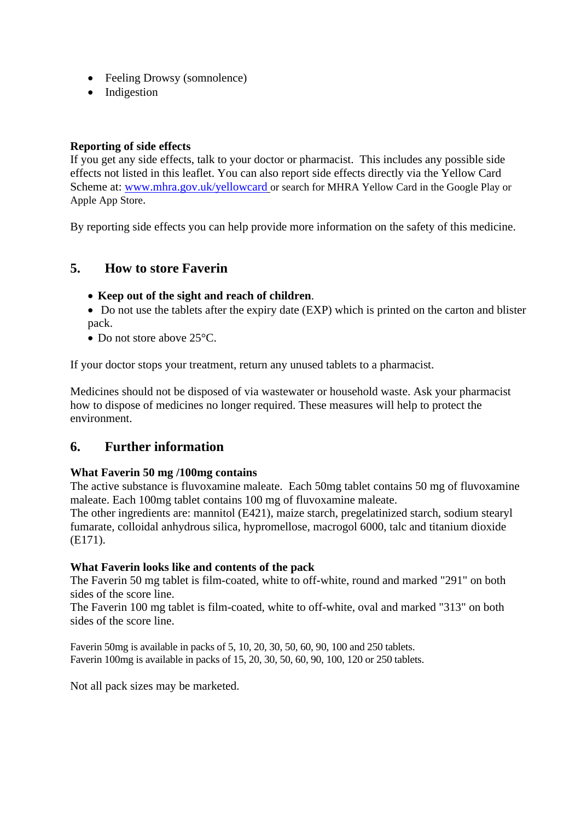- Feeling Drowsy (somnolence)
- Indigestion

#### **Reporting of side effects**

If you get any side effects, talk to your doctor or pharmacist. This includes any possible side effects not listed in this leaflet. You can also report side effects directly via the Yellow Card Scheme at: [www.mhra.gov.uk/yellowcard](http://www.mhra.gov.uk/yellowcard) or search for MHRA Yellow Card in the Google Play or Apple App Store.

By reporting side effects you can help provide more information on the safety of this medicine.

## **5. How to store Faverin**

#### • **Keep out of the sight and reach of children**.

- Do not use the tablets after the expiry date (EXP) which is printed on the carton and blister pack.
- Do not store above 25 °C.

If your doctor stops your treatment, return any unused tablets to a pharmacist.

Medicines should not be disposed of via wastewater or household waste. Ask your pharmacist how to dispose of medicines no longer required. These measures will help to protect the environment.

## **6. Further information**

#### **What Faverin 50 mg /100mg contains**

The active substance is fluvoxamine maleate. Each 50mg tablet contains 50 mg of fluvoxamine maleate. Each 100mg tablet contains 100 mg of fluvoxamine maleate.

The other ingredients are: mannitol (E421), maize starch, pregelatinized starch, sodium stearyl fumarate, colloidal anhydrous silica, hypromellose, macrogol 6000, talc and titanium dioxide (E171).

#### **What Faverin looks like and contents of the pack**

The Faverin 50 mg tablet is film-coated, white to off-white, round and marked "291" on both sides of the score line.

The Faverin 100 mg tablet is film-coated, white to off-white, oval and marked "313" on both sides of the score line.

Faverin 50mg is available in packs of 5, 10, 20, 30, 50, 60, 90, 100 and 250 tablets. Faverin 100mg is available in packs of 15, 20, 30, 50, 60, 90, 100, 120 or 250 tablets.

Not all pack sizes may be marketed.